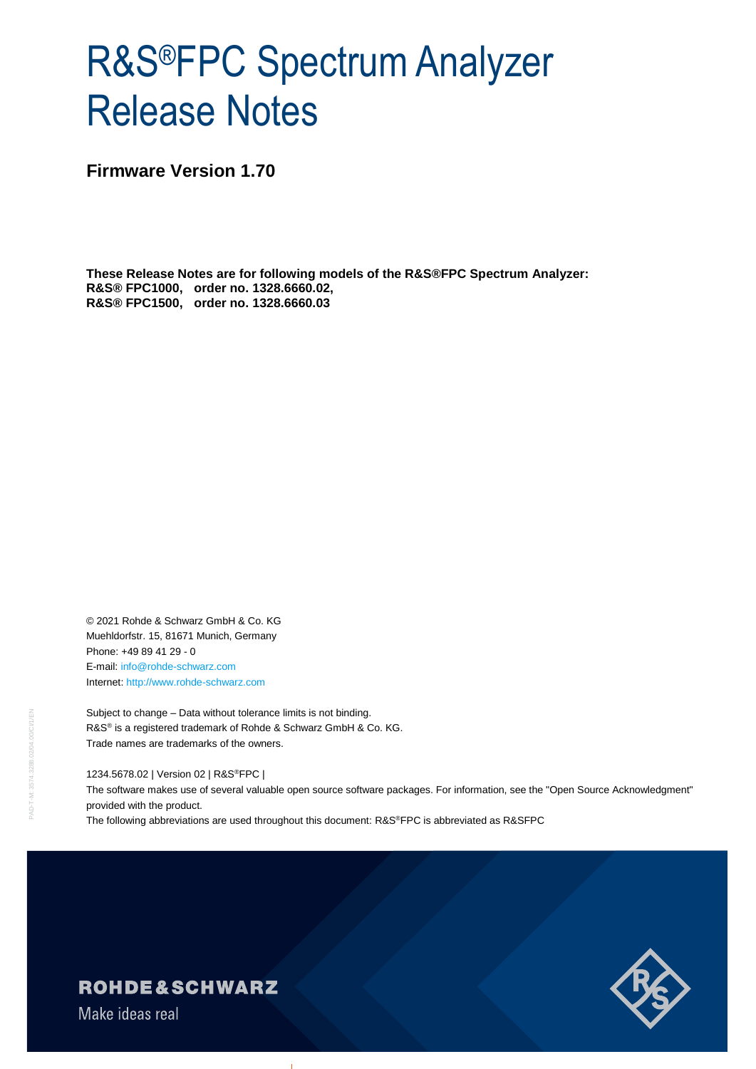# R&S®FPC Spectrum Analyzer Release Notes

**Firmware Version 1.70**

**These Release Notes are for following models of the R&S®FPC Spectrum Analyzer: R&S® FPC1000, order no. 1328.6660.02, R&S® FPC1500, order no. 1328.6660.03**

© 2021 Rohde & Schwarz GmbH & Co. KG Muehldorfstr. 15, 81671 Munich, Germany Phone: +49 89 41 29 - 0 E-mail: [info@rohde-schwarz.com](mailto:info@rohde-schwarz.com) Internet[: http://www.rohde-schwarz.com](http://www.rohde-schwarz.com/)

Subject to change – Data without tolerance limits is not binding. R&S<sup>®</sup> is a registered trademark of Rohde & Schwarz GmbH & Co. KG. Trade names are trademarks of the owners.

1234.5678.02 | Version 02 | R&S®FPC |

The software makes use of several valuable open source software packages. For information, see the "Open Source Acknowledgment" provided with the product.

The following abbreviations are used throughout this document: R&S®FPC is abbreviated as R&SFPC



### ROHDE&SCHWARZ

Make ideas real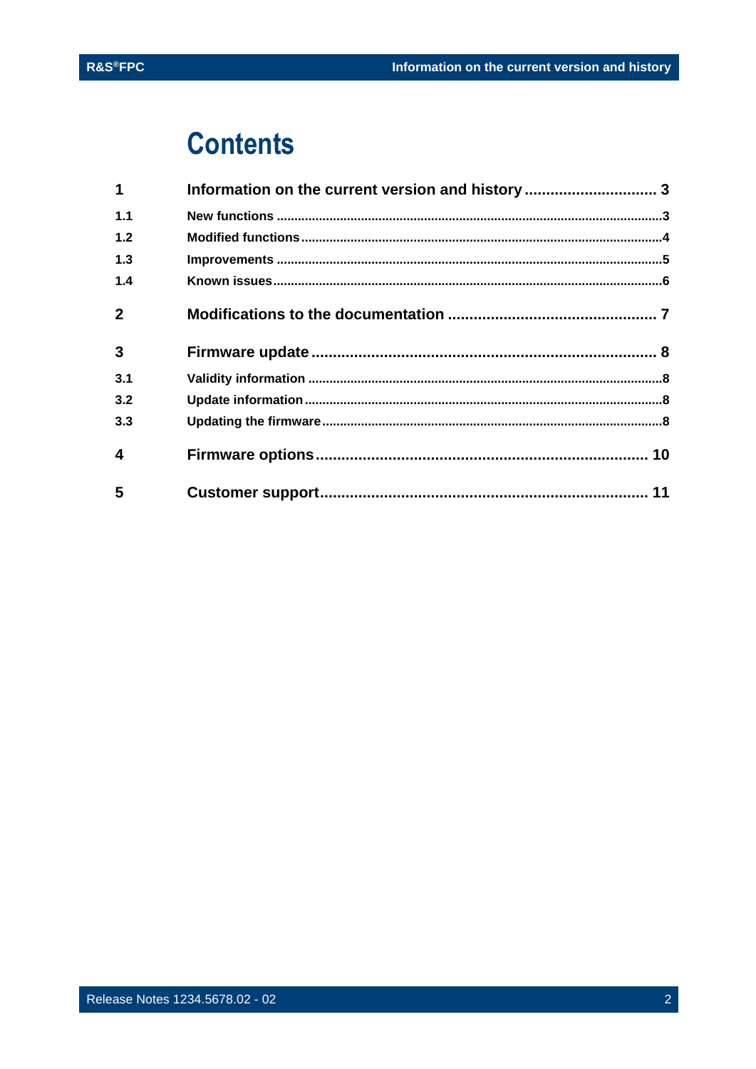## **Contents**

| $\mathbf 1$    | Information on the current version and history  3 |  |
|----------------|---------------------------------------------------|--|
| 1.1            |                                                   |  |
| 1.2            |                                                   |  |
| 1.3            |                                                   |  |
| 1.4            |                                                   |  |
| $\overline{2}$ |                                                   |  |
| $\mathbf{3}$   |                                                   |  |
| 3.1            |                                                   |  |
| 3.2            |                                                   |  |
| 3.3            |                                                   |  |
| 4              |                                                   |  |
| 5              |                                                   |  |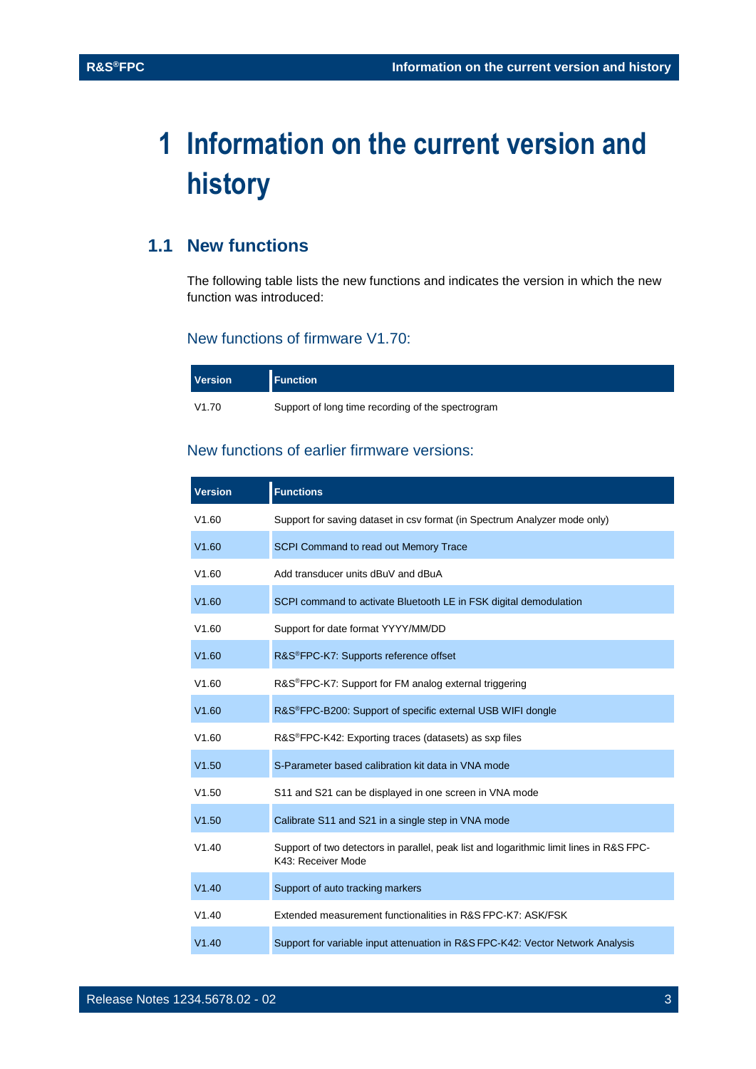## <span id="page-2-0"></span>**1 Information on the current version and history**

### <span id="page-2-1"></span>**1.1 New functions**

The following table lists the new functions and indicates the version in which the new function was introduced:

#### New functions of firmware V1.70:

| <b>Version</b> | <b>Function</b>                                   |
|----------------|---------------------------------------------------|
| V1.70          | Support of long time recording of the spectrogram |

#### New functions of earlier firmware versions:

| <b>Version</b> | <b>Functions</b>                                                                                              |
|----------------|---------------------------------------------------------------------------------------------------------------|
| V1.60          | Support for saving dataset in csv format (in Spectrum Analyzer mode only)                                     |
| V1.60          | SCPI Command to read out Memory Trace                                                                         |
| V1.60          | Add transducer units dBuV and dBuA                                                                            |
| V1.60          | SCPI command to activate Bluetooth LE in FSK digital demodulation                                             |
| V1.60          | Support for date format YYYY/MM/DD                                                                            |
| V1.60          | R&S <sup>®</sup> FPC-K7: Supports reference offset                                                            |
| V1.60          | R&S <sup>®</sup> FPC-K7: Support for FM analog external triggering                                            |
| V1.60          | R&S <sup>®</sup> FPC-B200: Support of specific external USB WIFI dongle                                       |
| V1.60          | R&S <sup>®</sup> FPC-K42: Exporting traces (datasets) as sxp files                                            |
| V1.50          | S-Parameter based calibration kit data in VNA mode                                                            |
| V1.50          | S11 and S21 can be displayed in one screen in VNA mode                                                        |
| V1.50          | Calibrate S11 and S21 in a single step in VNA mode                                                            |
| V1.40          | Support of two detectors in parallel, peak list and logarithmic limit lines in R&S FPC-<br>K43: Receiver Mode |
| V1.40          | Support of auto tracking markers                                                                              |
| V1.40          | Extended measurement functionalities in R&S FPC-K7: ASK/FSK                                                   |
| V1.40          | Support for variable input attenuation in R&S FPC-K42: Vector Network Analysis                                |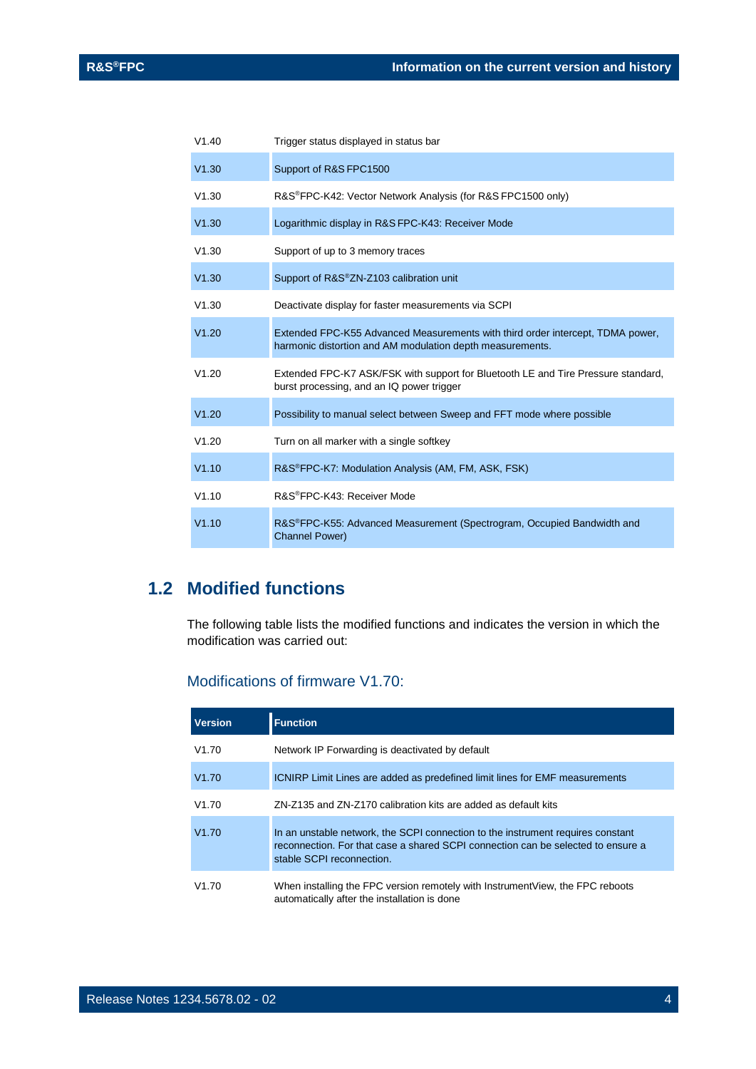| V1.40 | Trigger status displayed in status bar                                                                                                      |
|-------|---------------------------------------------------------------------------------------------------------------------------------------------|
| V1.30 | Support of R&S FPC1500                                                                                                                      |
| V1.30 | R&S®FPC-K42: Vector Network Analysis (for R&S FPC1500 only)                                                                                 |
| V1.30 | Logarithmic display in R&S FPC-K43: Receiver Mode                                                                                           |
| V1.30 | Support of up to 3 memory traces                                                                                                            |
| V1.30 | Support of R&S®ZN-Z103 calibration unit                                                                                                     |
| V1.30 | Deactivate display for faster measurements via SCPI                                                                                         |
| V1.20 | Extended FPC-K55 Advanced Measurements with third order intercept, TDMA power,<br>harmonic distortion and AM modulation depth measurements. |
| V1.20 | Extended FPC-K7 ASK/FSK with support for Bluetooth LE and Tire Pressure standard,<br>burst processing, and an IQ power trigger              |
| V1.20 | Possibility to manual select between Sweep and FFT mode where possible                                                                      |
| V1.20 | Turn on all marker with a single softkey                                                                                                    |
| V1.10 | R&S®FPC-K7: Modulation Analysis (AM, FM, ASK, FSK)                                                                                          |
| V1.10 | R&S®FPC-K43: Receiver Mode                                                                                                                  |
| V1.10 | R&S®FPC-K55: Advanced Measurement (Spectrogram, Occupied Bandwidth and<br><b>Channel Power)</b>                                             |

### <span id="page-3-0"></span>**1.2 Modified functions**

The following table lists the modified functions and indicates the version in which the modification was carried out:

#### Modifications of firmware V1.70:

| <b>Version</b> | <b>Function</b>                                                                                                                                                                                  |
|----------------|--------------------------------------------------------------------------------------------------------------------------------------------------------------------------------------------------|
| V1.70          | Network IP Forwarding is deactivated by default                                                                                                                                                  |
| V1.70          | <b>ICNIRP</b> Limit Lines are added as predefined limit lines for EMF measurements                                                                                                               |
| V1.70          | ZN-Z135 and ZN-Z170 calibration kits are added as default kits                                                                                                                                   |
| V1.70          | In an unstable network, the SCPI connection to the instrument requires constant<br>reconnection. For that case a shared SCPI connection can be selected to ensure a<br>stable SCPI reconnection. |
| V1.70          | When installing the FPC version remotely with Instrument View, the FPC reboots<br>automatically after the installation is done                                                                   |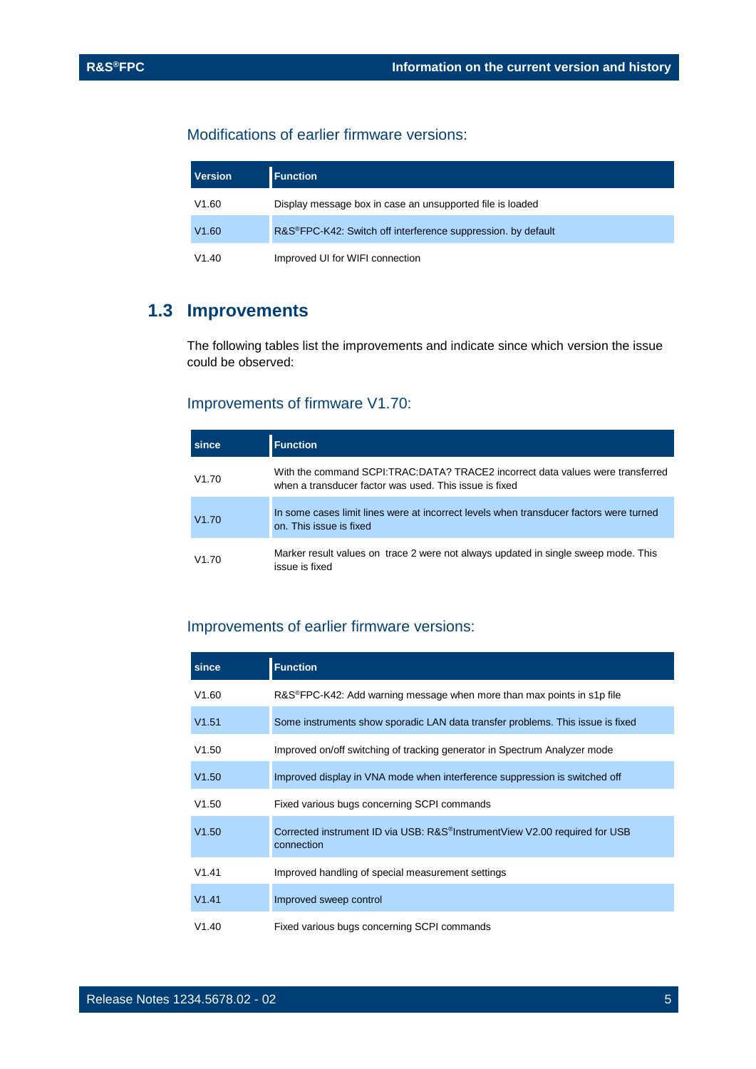#### Modifications of earlier firmware versions:

| <b>Version</b> | <b>Function</b>                                                           |
|----------------|---------------------------------------------------------------------------|
| V1.60          | Display message box in case an unsupported file is loaded                 |
| V1.60          | R&S <sup>®</sup> FPC-K42: Switch off interference suppression. by default |
| V1.40          | Improved UI for WIFI connection                                           |

### <span id="page-4-0"></span>**1.3 Improvements**

The following tables list the improvements and indicate since which version the issue could be observed:

#### Improvements of firmware V1.70:

| since | <b>Function</b>                                                                                                                          |
|-------|------------------------------------------------------------------------------------------------------------------------------------------|
| V1.70 | With the command SCPI:TRAC:DATA? TRACE2 incorrect data values were transferred<br>when a transducer factor was used. This issue is fixed |
| V1.70 | In some cases limit lines were at incorrect levels when transducer factors were turned<br>on. This issue is fixed                        |
| V1.70 | Marker result values on trace 2 were not always updated in single sweep mode. This<br>issue is fixed                                     |

#### Improvements of earlier firmware versions:

| since | <b>Function</b>                                                                                       |
|-------|-------------------------------------------------------------------------------------------------------|
| V1.60 | $R&S^{\otimes}FPC-K42$ : Add warning message when more than max points in s1p file                    |
| V1.51 | Some instruments show sporadic LAN data transfer problems. This issue is fixed                        |
| V1.50 | Improved on/off switching of tracking generator in Spectrum Analyzer mode                             |
| V1.50 | Improved display in VNA mode when interference suppression is switched off                            |
| V1.50 | Fixed various bugs concerning SCPI commands                                                           |
| V1.50 | Corrected instrument ID via USB: R&S <sup>®</sup> InstrumentView V2.00 required for USB<br>connection |
| V1.41 | Improved handling of special measurement settings                                                     |
| V1.41 | Improved sweep control                                                                                |
| V1.40 | Fixed various bugs concerning SCPI commands                                                           |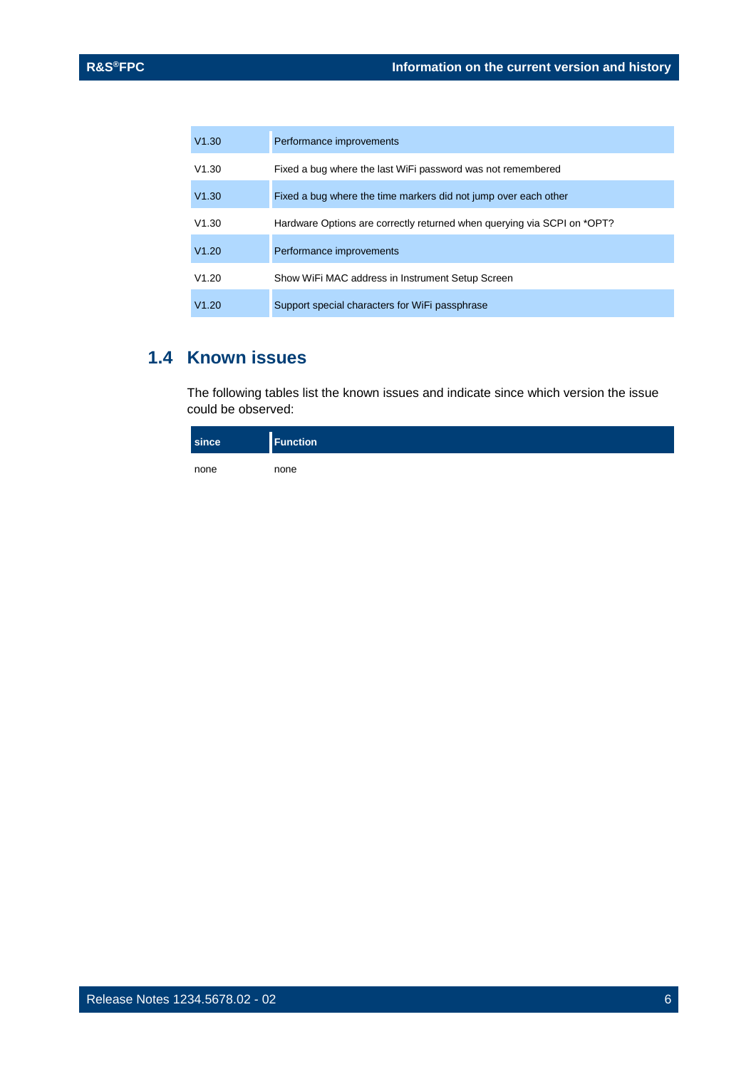| V1.30 | Performance improvements                                                |
|-------|-------------------------------------------------------------------------|
| V1.30 | Fixed a bug where the last WiFi password was not remembered             |
| V1.30 | Fixed a bug where the time markers did not jump over each other         |
| V1.30 | Hardware Options are correctly returned when querying via SCPI on *OPT? |
| V1.20 | Performance improvements                                                |
| V1.20 | Show WiFi MAC address in Instrument Setup Screen                        |
| V1.20 | Support special characters for WiFi passphrase                          |

### <span id="page-5-0"></span>**1.4 Known issues**

The following tables list the known issues and indicate since which version the issue could be observed:

| since | <b>Function</b> |
|-------|-----------------|
| none  | none            |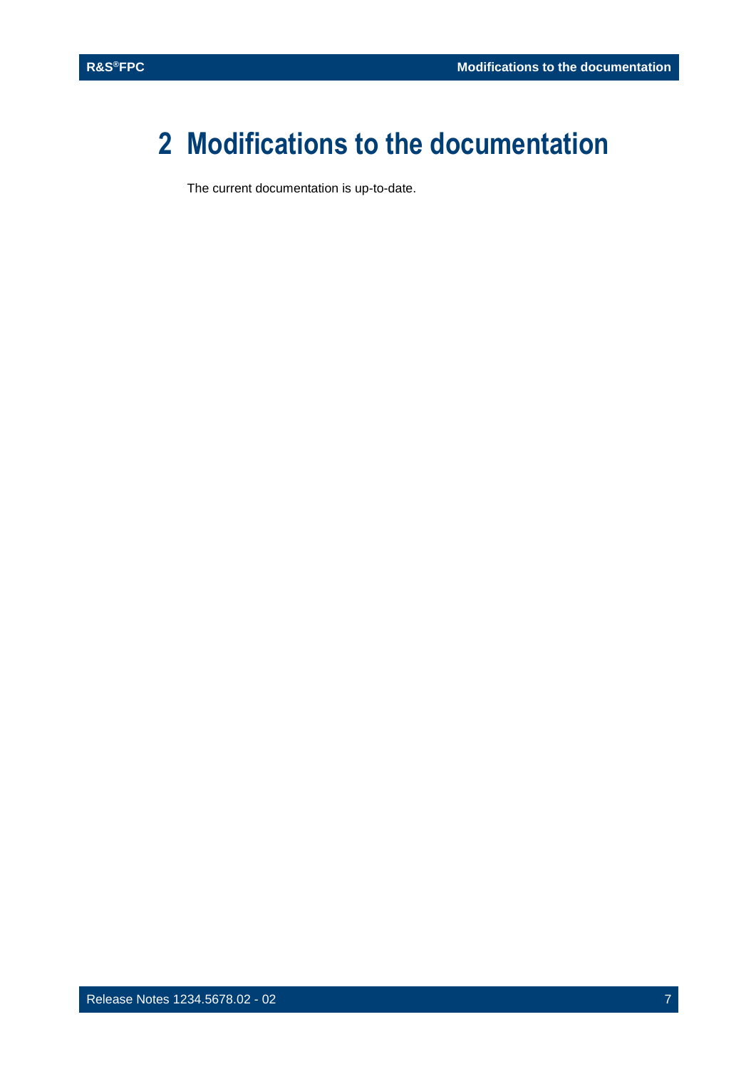## <span id="page-6-0"></span>**2 Modifications to the documentation**

The current documentation is up-to-date.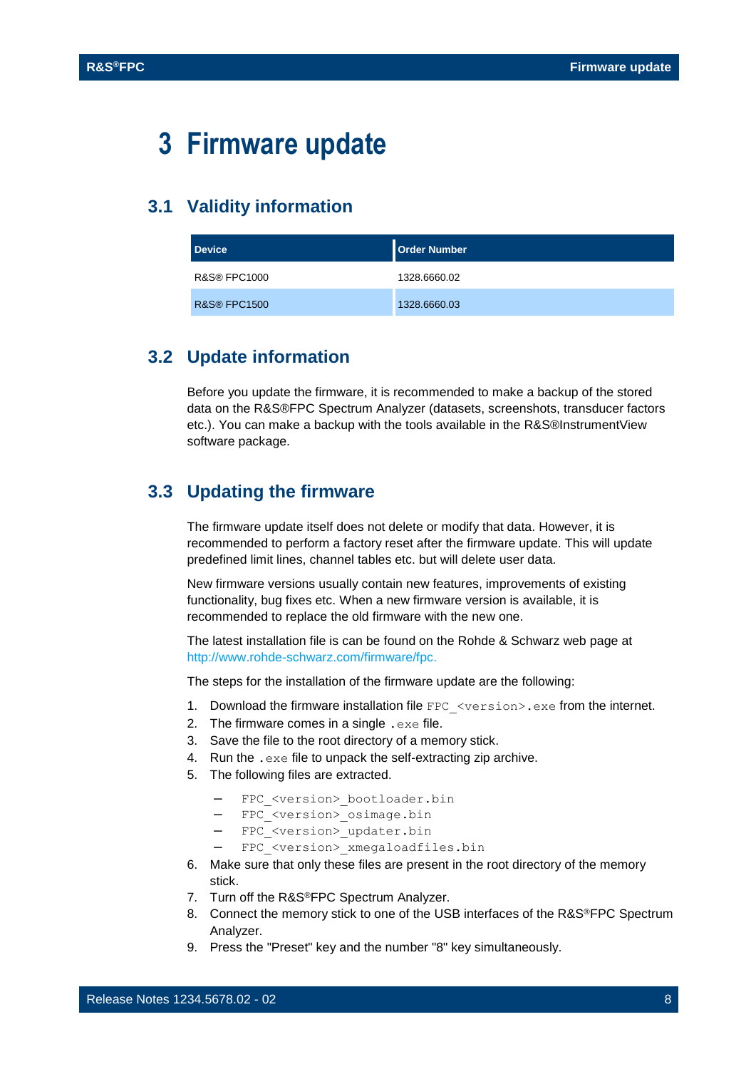## <span id="page-7-0"></span>**3 Firmware update**

#### <span id="page-7-1"></span>**3.1 Validity information**

| <b>Device</b>           | Order Number |
|-------------------------|--------------|
| <b>R&amp;S® FPC1000</b> | 1328.6660.02 |
| <b>R&amp;S® FPC1500</b> | 1328.6660.03 |

#### <span id="page-7-2"></span>**3.2 Update information**

Before you update the firmware, it is recommended to make a backup of the stored data on the R&S®FPC Spectrum Analyzer (datasets, screenshots, transducer factors etc.). You can make a backup with the tools available in the R&S®InstrumentView software package.

#### <span id="page-7-3"></span>**3.3 Updating the firmware**

The firmware update itself does not delete or modify that data. However, it is recommended to perform a factory reset after the firmware update. This will update predefined limit lines, channel tables etc. but will delete user data.

New firmware versions usually contain new features, improvements of existing functionality, bug fixes etc. When a new firmware version is available, it is recommended to replace the old firmware with the new one.

The latest installation file is can be found on the Rohde & Schwarz web page at http:/[/www.rohde-schwarz.com/firmware/fpc.](http://www.rohde-schwarz.com/firmware/fpc)

The steps for the installation of the firmware update are the following:

- 1. Download the firmware installation file FPC <version>.exe from the internet.
- 2. The firmware comes in a single . exe file.
- 3. Save the file to the root directory of a memory stick.
- 4. Run the .exe file to unpack the self-extracting zip archive.
- 5. The following files are extracted.
	- FPC <version> bootloader.bin
	- FPC <version> osimage.bin
	- FPC <version> updater.bin
	- FPC\_<version>\_xmegaloadfiles.bin
- 6. Make sure that only these files are present in the root directory of the memory stick.
- 7. Turn off the R&S®FPC Spectrum Analyzer.
- 8. Connect the memory stick to one of the USB interfaces of the R&S®FPC Spectrum Analyzer.
- 9. Press the "Preset" key and the number "8" key simultaneously.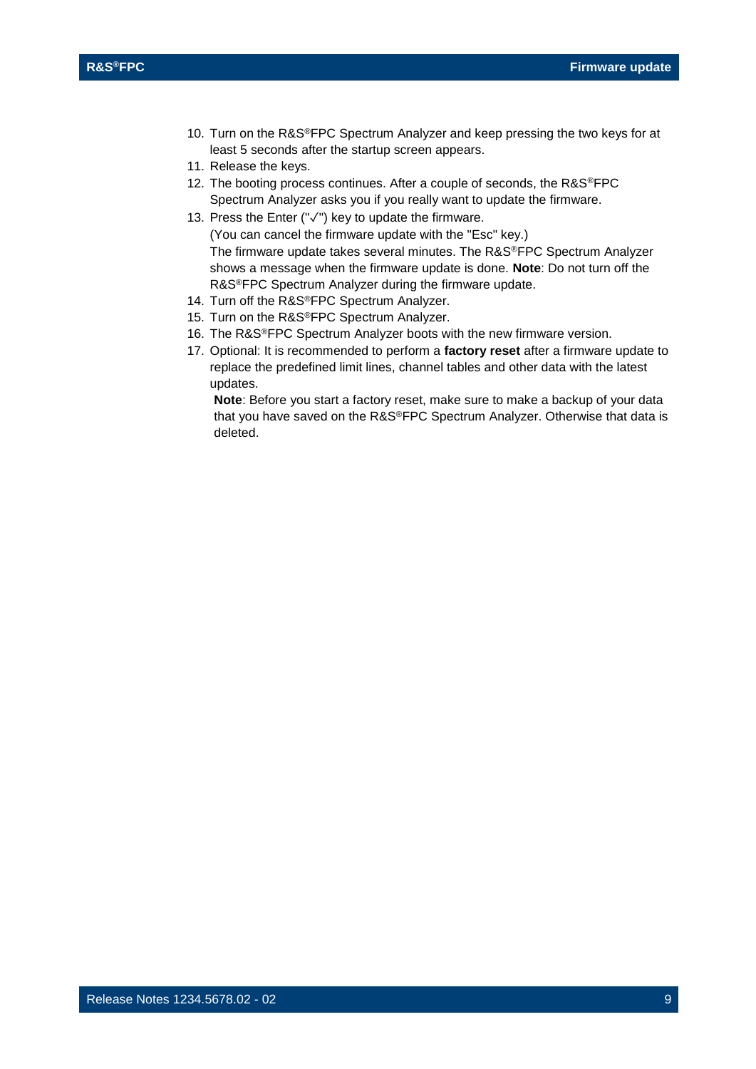- 10. Turn on the R&S®FPC Spectrum Analyzer and keep pressing the two keys for at least 5 seconds after the startup screen appears.
- 11. Release the keys.
- 12. The booting process continues. After a couple of seconds, the R&S®FPC Spectrum Analyzer asks you if you really want to update the firmware.
- 13. Press the Enter ("✓") key to update the firmware.

(You can cancel the firmware update with the "Esc" key.) The firmware update takes several minutes. The R&S®FPC Spectrum Analyzer shows a message when the firmware update is done. **Note**: Do not turn off the R&S®FPC Spectrum Analyzer during the firmware update.

- 14. Turn off the R&S®FPC Spectrum Analyzer.
- 15. Turn on the R&S®FPC Spectrum Analyzer.
- 16. The R&S®FPC Spectrum Analyzer boots with the new firmware version.
- 17. Optional: It is recommended to perform a **factory reset** after a firmware update to replace the predefined limit lines, channel tables and other data with the latest updates.

**Note**: Before you start a factory reset, make sure to make a backup of your data that you have saved on the R&S®FPC Spectrum Analyzer. Otherwise that data is deleted.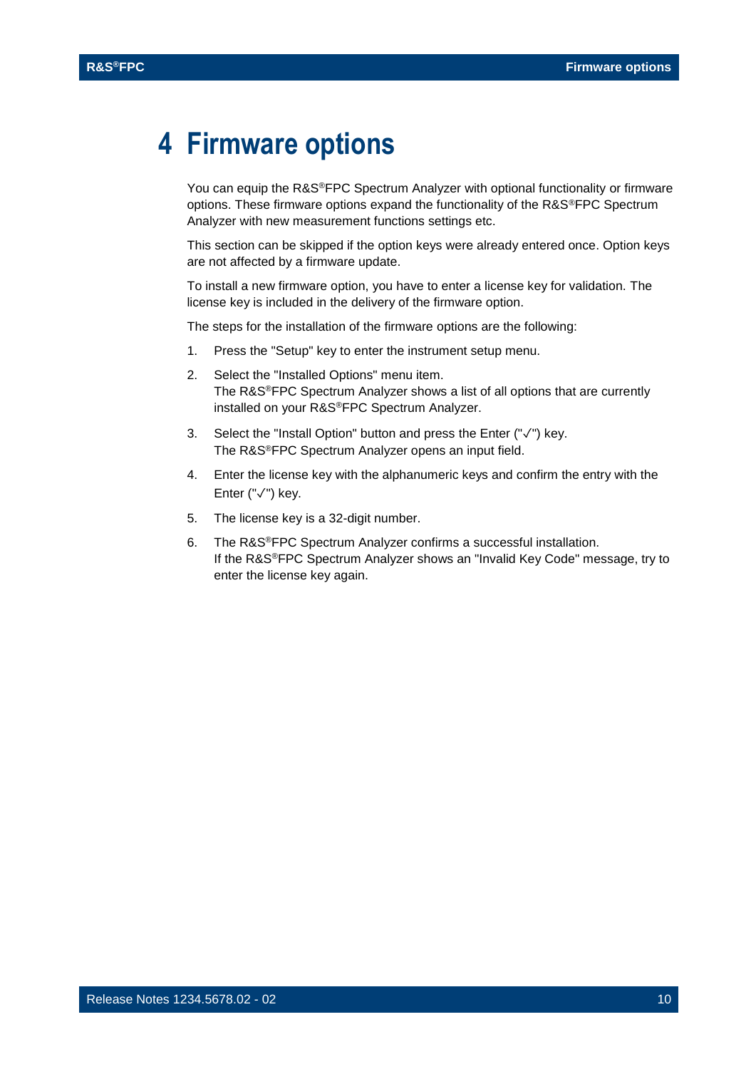### <span id="page-9-0"></span>**4 Firmware options**

You can equip the R&S®FPC Spectrum Analyzer with optional functionality or firmware options. These firmware options expand the functionality of the R&S®FPC Spectrum Analyzer with new measurement functions settings etc.

This section can be skipped if the option keys were already entered once. Option keys are not affected by a firmware update.

To install a new firmware option, you have to enter a license key for validation. The license key is included in the delivery of the firmware option.

The steps for the installation of the firmware options are the following:

- 1. Press the "Setup" key to enter the instrument setup menu.
- 2. Select the "Installed Options" menu item. The R&S®FPC Spectrum Analyzer shows a list of all options that are currently installed on your R&S®FPC Spectrum Analyzer.
- 3. Select the "Install Option" button and press the Enter ("✓") key. The R&S®FPC Spectrum Analyzer opens an input field.
- 4. Enter the license key with the alphanumeric keys and confirm the entry with the Enter ("✓") key.
- 5. The license key is a 32-digit number.
- 6. The R&S®FPC Spectrum Analyzer confirms a successful installation. If the R&S®FPC Spectrum Analyzer shows an "Invalid Key Code" message, try to enter the license key again.